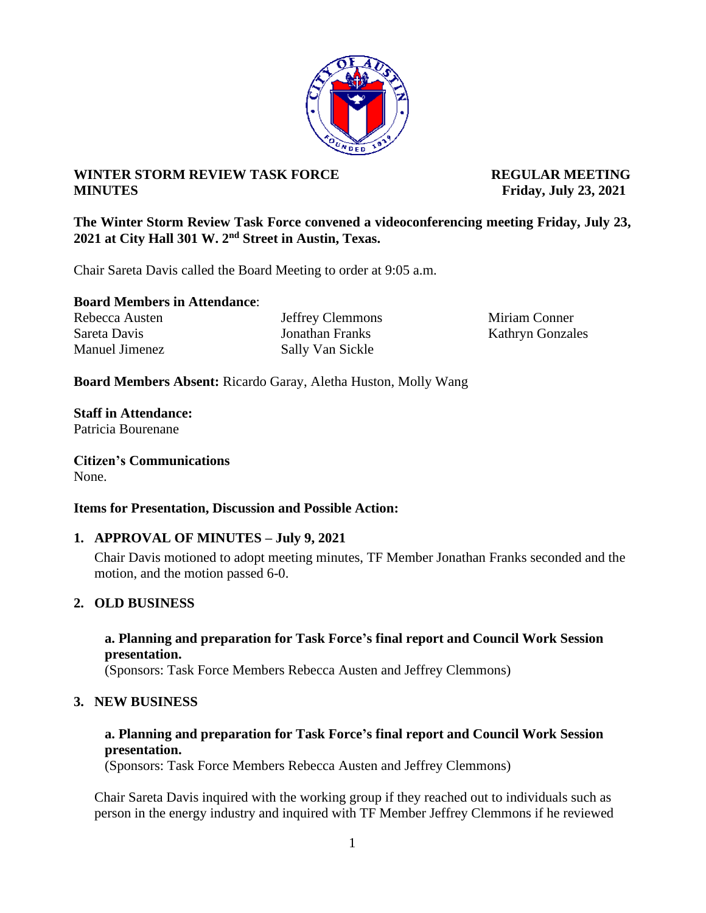## **WINTER STORM REVIEW TASK FORCE REGULAR MEETING MINUTES Friday, July 23, 2021**

**The Winter Storm Review Task Force convened a videoconferencing meeting Friday, July 23, 2021 at City Hall 301 W. 2nd Street in Austin, Texas.**

Chair Sareta Davis called the Board Meeting to order at 9:05 a.m.

**Board Members in Attendance**:

Sareta Davis **Sareta Davis** Jonathan Franks Kathryn Gonzales Manuel Jimenez Sally Van Sickle

Rebecca Austen Jeffrey Clemmons Miriam Conner

**Board Members Absent:** Ricardo Garay, Aletha Huston, Molly Wang

**Staff in Attendance:** Patricia Bourenane

**Citizen's Communications** None.

#### **Items for Presentation, Discussion and Possible Action:**

#### **1. APPROVAL OF MINUTES – July 9, 2021**

Chair Davis motioned to adopt meeting minutes, TF Member Jonathan Franks seconded and the motion, and the motion passed 6-0.

#### **2. OLD BUSINESS**

#### **a. Planning and preparation for Task Force's final report and Council Work Session presentation.**

(Sponsors: Task Force Members Rebecca Austen and Jeffrey Clemmons)

#### **3. NEW BUSINESS**

## **a. Planning and preparation for Task Force's final report and Council Work Session presentation.**

(Sponsors: Task Force Members Rebecca Austen and Jeffrey Clemmons)

Chair Sareta Davis inquired with the working group if they reached out to individuals such as person in the energy industry and inquired with TF Member Jeffrey Clemmons if he reviewed